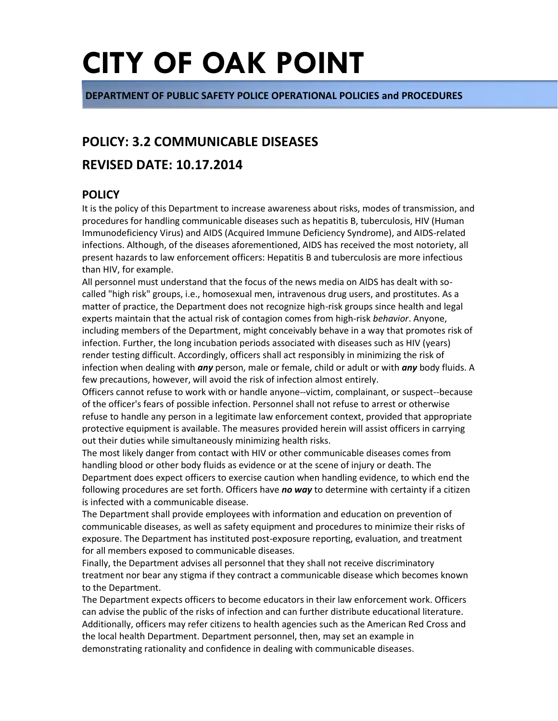**DEPARTMENT OF PUBLIC SAFETY POLICE OPERATIONAL POLICIES and PROCEDURES**

# **POLICY: 3.2 COMMUNICABLE DISEASES**

# **REVISED DATE: 10.17.2014**

# **POLICY**

It is the policy of this Department to increase awareness about risks, modes of transmission, and procedures for handling communicable diseases such as hepatitis B, tuberculosis, HIV (Human Immunodeficiency Virus) and AIDS (Acquired Immune Deficiency Syndrome), and AIDS-related infections. Although, of the diseases aforementioned, AIDS has received the most notoriety, all present hazards to law enforcement officers: Hepatitis B and tuberculosis are more infectious than HIV, for example.

All personnel must understand that the focus of the news media on AIDS has dealt with socalled "high risk" groups, i.e., homosexual men, intravenous drug users, and prostitutes. As a matter of practice, the Department does not recognize high-risk groups since health and legal experts maintain that the actual risk of contagion comes from high-risk *behavior*. Anyone, including members of the Department, might conceivably behave in a way that promotes risk of infection. Further, the long incubation periods associated with diseases such as HIV (years) render testing difficult. Accordingly, officers shall act responsibly in minimizing the risk of infection when dealing with *any* person, male or female, child or adult or with *any* body fluids. A few precautions, however, will avoid the risk of infection almost entirely.

Officers cannot refuse to work with or handle anyone--victim, complainant, or suspect--because of the officer's fears of possible infection. Personnel shall not refuse to arrest or otherwise refuse to handle any person in a legitimate law enforcement context, provided that appropriate protective equipment is available. The measures provided herein will assist officers in carrying out their duties while simultaneously minimizing health risks.

The most likely danger from contact with HIV or other communicable diseases comes from handling blood or other body fluids as evidence or at the scene of injury or death. The Department does expect officers to exercise caution when handling evidence, to which end the following procedures are set forth. Officers have *no way* to determine with certainty if a citizen is infected with a communicable disease.

The Department shall provide employees with information and education on prevention of communicable diseases, as well as safety equipment and procedures to minimize their risks of exposure. The Department has instituted post-exposure reporting, evaluation, and treatment for all members exposed to communicable diseases.

Finally, the Department advises all personnel that they shall not receive discriminatory treatment nor bear any stigma if they contract a communicable disease which becomes known to the Department.

The Department expects officers to become educators in their law enforcement work. Officers can advise the public of the risks of infection and can further distribute educational literature. Additionally, officers may refer citizens to health agencies such as the American Red Cross and the local health Department. Department personnel, then, may set an example in demonstrating rationality and confidence in dealing with communicable diseases.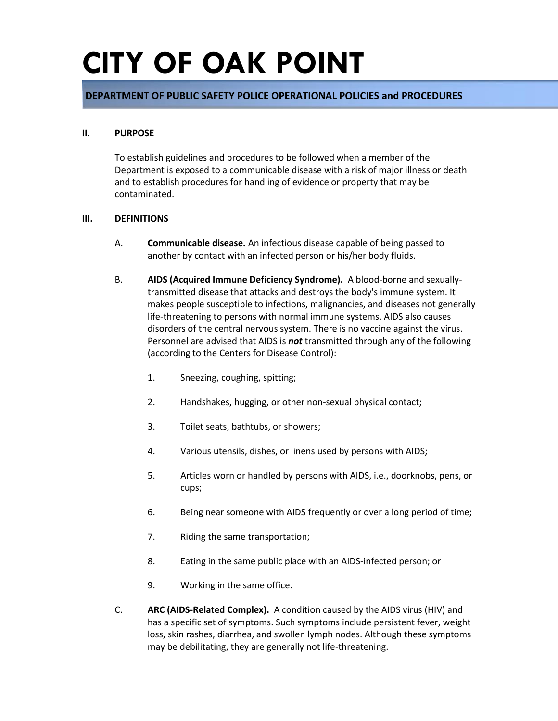### **DEPARTMENT OF PUBLIC SAFETY POLICE OPERATIONAL POLICIES and PROCEDURES**

#### **II. PURPOSE**

To establish guidelines and procedures to be followed when a member of the Department is exposed to a communicable disease with a risk of major illness or death and to establish procedures for handling of evidence or property that may be contaminated.

#### **III. DEFINITIONS**

- A. **Communicable disease.** An infectious disease capable of being passed to another by contact with an infected person or his/her body fluids.
- B. **AIDS (Acquired Immune Deficiency Syndrome).** A blood-borne and sexuallytransmitted disease that attacks and destroys the body's immune system. It makes people susceptible to infections, malignancies, and diseases not generally life-threatening to persons with normal immune systems. AIDS also causes disorders of the central nervous system. There is no vaccine against the virus. Personnel are advised that AIDS is *not* transmitted through any of the following (according to the Centers for Disease Control):
	- 1. Sneezing, coughing, spitting;
	- 2. Handshakes, hugging, or other non-sexual physical contact;
	- 3. Toilet seats, bathtubs, or showers;
	- 4. Various utensils, dishes, or linens used by persons with AIDS;
	- 5. Articles worn or handled by persons with AIDS, i.e., doorknobs, pens, or cups;
	- 6. Being near someone with AIDS frequently or over a long period of time;
	- 7. Riding the same transportation;
	- 8. Eating in the same public place with an AIDS-infected person; or
	- 9. Working in the same office.
- C. **ARC (AIDS-Related Complex).** A condition caused by the AIDS virus (HIV) and has a specific set of symptoms. Such symptoms include persistent fever, weight loss, skin rashes, diarrhea, and swollen lymph nodes. Although these symptoms may be debilitating, they are generally not life-threatening.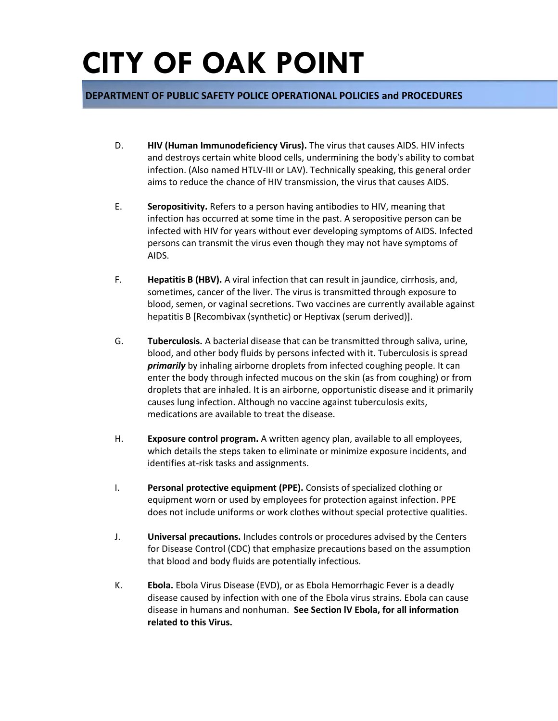### **DEPARTMENT OF PUBLIC SAFETY POLICE OPERATIONAL POLICIES and PROCEDURES**

- D. **HIV (Human Immunodeficiency Virus).** The virus that causes AIDS. HIV infects and destroys certain white blood cells, undermining the body's ability to combat infection. (Also named HTLV-III or LAV). Technically speaking, this general order aims to reduce the chance of HIV transmission, the virus that causes AIDS.
- E. **Seropositivity.** Refers to a person having antibodies to HIV, meaning that infection has occurred at some time in the past. A seropositive person can be infected with HIV for years without ever developing symptoms of AIDS. Infected persons can transmit the virus even though they may not have symptoms of AIDS.
- F. **Hepatitis B (HBV).** A viral infection that can result in jaundice, cirrhosis, and, sometimes, cancer of the liver. The virus is transmitted through exposure to blood, semen, or vaginal secretions. Two vaccines are currently available against hepatitis B [Recombivax (synthetic) or Heptivax (serum derived)].
- G. **Tuberculosis.** A bacterial disease that can be transmitted through saliva, urine, blood, and other body fluids by persons infected with it. Tuberculosis is spread *primarily* by inhaling airborne droplets from infected coughing people. It can enter the body through infected mucous on the skin (as from coughing) or from droplets that are inhaled. It is an airborne, opportunistic disease and it primarily causes lung infection. Although no vaccine against tuberculosis exits, medications are available to treat the disease.
- H. **Exposure control program.** A written agency plan, available to all employees, which details the steps taken to eliminate or minimize exposure incidents, and identifies at-risk tasks and assignments.
- I. **Personal protective equipment (PPE).** Consists of specialized clothing or equipment worn or used by employees for protection against infection. PPE does not include uniforms or work clothes without special protective qualities.
- J. **Universal precautions.** Includes controls or procedures advised by the Centers for Disease Control (CDC) that emphasize precautions based on the assumption that blood and body fluids are potentially infectious.
- K. **Ebola.** Ebola Virus Disease (EVD), or as Ebola Hemorrhagic Fever is a deadly disease caused by infection with one of the Ebola virus strains. Ebola can cause disease in humans and nonhuman. **See Section lV Ebola, for all information related to this Virus.**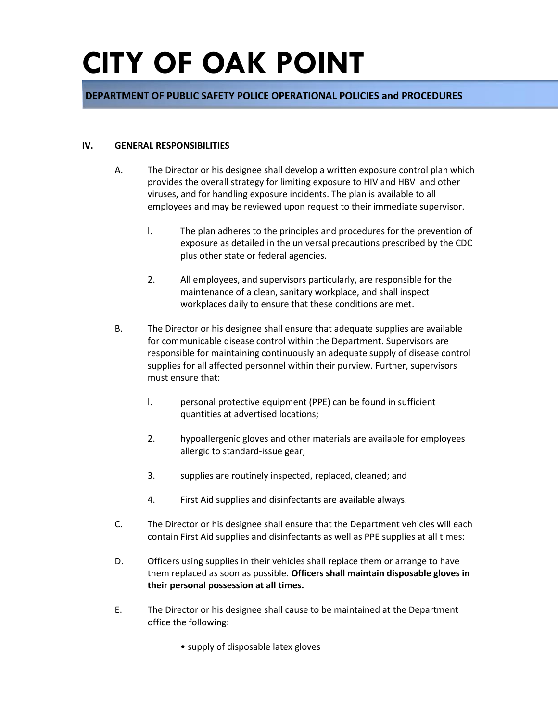### **DEPARTMENT OF PUBLIC SAFETY POLICE OPERATIONAL POLICIES and PROCEDURES**

#### **IV. GENERAL RESPONSIBILITIES**

- A. The Director or his designee shall develop a written exposure control plan which provides the overall strategy for limiting exposure to HIV and HBV and other viruses, and for handling exposure incidents. The plan is available to all employees and may be reviewed upon request to their immediate supervisor.
	- l. The plan adheres to the principles and procedures for the prevention of exposure as detailed in the universal precautions prescribed by the CDC plus other state or federal agencies.
	- 2. All employees, and supervisors particularly, are responsible for the maintenance of a clean, sanitary workplace, and shall inspect workplaces daily to ensure that these conditions are met.
- B. The Director or his designee shall ensure that adequate supplies are available for communicable disease control within the Department. Supervisors are responsible for maintaining continuously an adequate supply of disease control supplies for all affected personnel within their purview. Further, supervisors must ensure that:
	- l. personal protective equipment (PPE) can be found in sufficient quantities at advertised locations;
	- 2. hypoallergenic gloves and other materials are available for employees allergic to standard-issue gear;
	- 3. supplies are routinely inspected, replaced, cleaned; and
	- 4. First Aid supplies and disinfectants are available always.
- C. The Director or his designee shall ensure that the Department vehicles will each contain First Aid supplies and disinfectants as well as PPE supplies at all times:
- D. Officers using supplies in their vehicles shall replace them or arrange to have them replaced as soon as possible. **Officers shall maintain disposable gloves in their personal possession at all times.**
- E. The Director or his designee shall cause to be maintained at the Department office the following:
	- supply of disposable latex gloves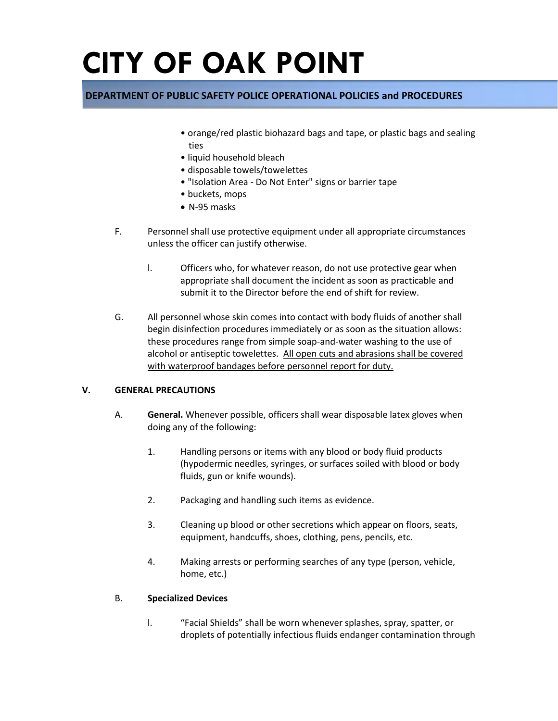## **DEPARTMENT OF PUBLIC SAFETY POLICE OPERATIONAL POLICIES and PROCEDURES**

- orange/red plastic biohazard bags and tape, or plastic bags and sealing ties
- liquid household bleach
- disposable towels/towelettes
- "Isolation Area Do Not Enter" signs or barrier tape
- buckets, mops
- N-95 masks
- F. Personnel shall use protective equipment under all appropriate circumstances unless the officer can justify otherwise.
	- l. Officers who, for whatever reason, do not use protective gear when appropriate shall document the incident as soon as practicable and submit it to the Director before the end of shift for review.
- G. All personnel whose skin comes into contact with body fluids of another shall begin disinfection procedures immediately or as soon as the situation allows: these procedures range from simple soap-and-water washing to the use of alcohol or antiseptic towelettes. All open cuts and abrasions shall be covered with waterproof bandages before personnel report for duty.

#### **V. GENERAL PRECAUTIONS**

- A. **General.** Whenever possible, officers shall wear disposable latex gloves when doing any of the following:
	- 1. Handling persons or items with any blood or body fluid products (hypodermic needles, syringes, or surfaces soiled with blood or body fluids, gun or knife wounds).
	- 2. Packaging and handling such items as evidence.
	- 3. Cleaning up blood or other secretions which appear on floors, seats, equipment, handcuffs, shoes, clothing, pens, pencils, etc.
	- 4. Making arrests or performing searches of any type (person, vehicle, home, etc.)

#### B. **Specialized Devices**

l. "Facial Shields" shall be worn whenever splashes, spray, spatter, or droplets of potentially infectious fluids endanger contamination through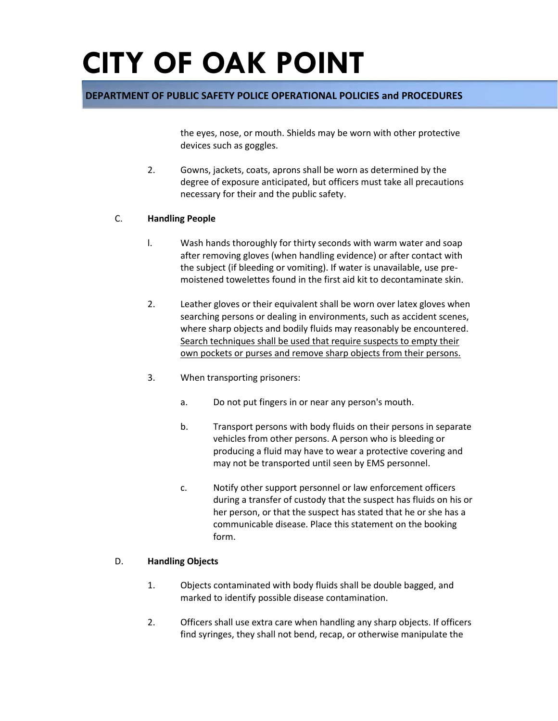### **DEPARTMENT OF PUBLIC SAFETY POLICE OPERATIONAL POLICIES and PROCEDURES**

the eyes, nose, or mouth. Shields may be worn with other protective devices such as goggles.

2. Gowns, jackets, coats, aprons shall be worn as determined by the degree of exposure anticipated, but officers must take all precautions necessary for their and the public safety.

#### C. **Handling People**

- l. Wash hands thoroughly for thirty seconds with warm water and soap after removing gloves (when handling evidence) or after contact with the subject (if bleeding or vomiting). If water is unavailable, use premoistened towelettes found in the first aid kit to decontaminate skin.
- 2. Leather gloves or their equivalent shall be worn over latex gloves when searching persons or dealing in environments, such as accident scenes, where sharp objects and bodily fluids may reasonably be encountered. Search techniques shall be used that require suspects to empty their own pockets or purses and remove sharp objects from their persons.
- 3. When transporting prisoners:
	- a. Do not put fingers in or near any person's mouth.
	- b. Transport persons with body fluids on their persons in separate vehicles from other persons. A person who is bleeding or producing a fluid may have to wear a protective covering and may not be transported until seen by EMS personnel.
	- c. Notify other support personnel or law enforcement officers during a transfer of custody that the suspect has fluids on his or her person, or that the suspect has stated that he or she has a communicable disease. Place this statement on the booking form.

#### D. **Handling Objects**

- 1. Objects contaminated with body fluids shall be double bagged, and marked to identify possible disease contamination.
- 2. Officers shall use extra care when handling any sharp objects. If officers find syringes, they shall not bend, recap, or otherwise manipulate the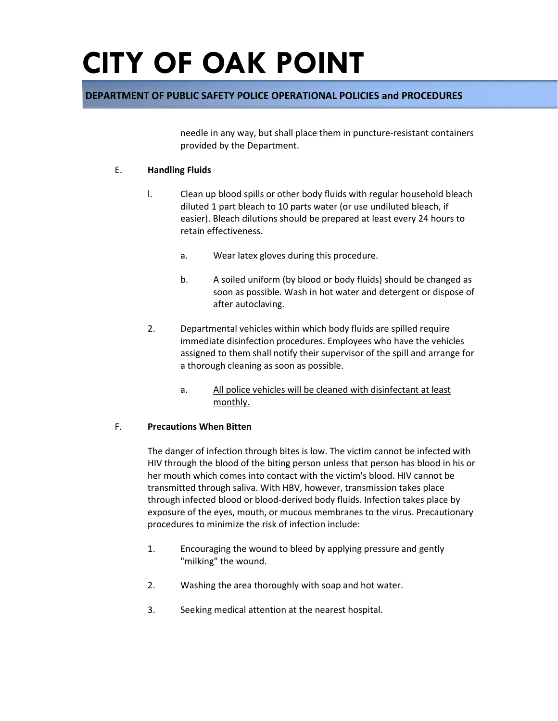### **DEPARTMENT OF PUBLIC SAFETY POLICE OPERATIONAL POLICIES and PROCEDURES**

needle in any way, but shall place them in puncture-resistant containers provided by the Department.

#### E. **Handling Fluids**

- l. Clean up blood spills or other body fluids with regular household bleach diluted 1 part bleach to 10 parts water (or use undiluted bleach, if easier). Bleach dilutions should be prepared at least every 24 hours to retain effectiveness.
	- a. Wear latex gloves during this procedure.
	- b. A soiled uniform (by blood or body fluids) should be changed as soon as possible. Wash in hot water and detergent or dispose of after autoclaving.
- 2. Departmental vehicles within which body fluids are spilled require immediate disinfection procedures. Employees who have the vehicles assigned to them shall notify their supervisor of the spill and arrange for a thorough cleaning as soon as possible.
	- a. All police vehicles will be cleaned with disinfectant at least monthly.

#### F. **Precautions When Bitten**

The danger of infection through bites is low. The victim cannot be infected with HIV through the blood of the biting person unless that person has blood in his or her mouth which comes into contact with the victim's blood. HIV cannot be transmitted through saliva. With HBV, however, transmission takes place through infected blood or blood-derived body fluids. Infection takes place by exposure of the eyes, mouth, or mucous membranes to the virus. Precautionary procedures to minimize the risk of infection include:

- 1. Encouraging the wound to bleed by applying pressure and gently "milking" the wound.
- 2. Washing the area thoroughly with soap and hot water.
- 3. Seeking medical attention at the nearest hospital.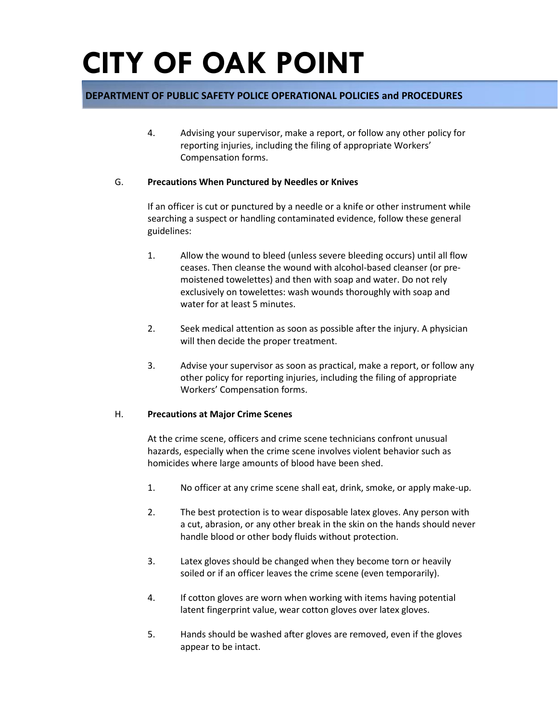### **DEPARTMENT OF PUBLIC SAFETY POLICE OPERATIONAL POLICIES and PROCEDURES**

4. Advising your supervisor, make a report, or follow any other policy for reporting injuries, including the filing of appropriate Workers' Compensation forms.

#### G. **Precautions When Punctured by Needles or Knives**

If an officer is cut or punctured by a needle or a knife or other instrument while searching a suspect or handling contaminated evidence, follow these general guidelines:

- 1. Allow the wound to bleed (unless severe bleeding occurs) until all flow ceases. Then cleanse the wound with alcohol-based cleanser (or premoistened towelettes) and then with soap and water. Do not rely exclusively on towelettes: wash wounds thoroughly with soap and water for at least 5 minutes.
- 2. Seek medical attention as soon as possible after the injury. A physician will then decide the proper treatment.
- 3. Advise your supervisor as soon as practical, make a report, or follow any other policy for reporting injuries, including the filing of appropriate Workers' Compensation forms.

#### H. **Precautions at Major Crime Scenes**

At the crime scene, officers and crime scene technicians confront unusual hazards, especially when the crime scene involves violent behavior such as homicides where large amounts of blood have been shed.

- 1. No officer at any crime scene shall eat, drink, smoke, or apply make-up.
- 2. The best protection is to wear disposable latex gloves. Any person with a cut, abrasion, or any other break in the skin on the hands should never handle blood or other body fluids without protection.
- 3. Latex gloves should be changed when they become torn or heavily soiled or if an officer leaves the crime scene (even temporarily).
- 4. If cotton gloves are worn when working with items having potential latent fingerprint value, wear cotton gloves over latex gloves.
- 5. Hands should be washed after gloves are removed, even if the gloves appear to be intact.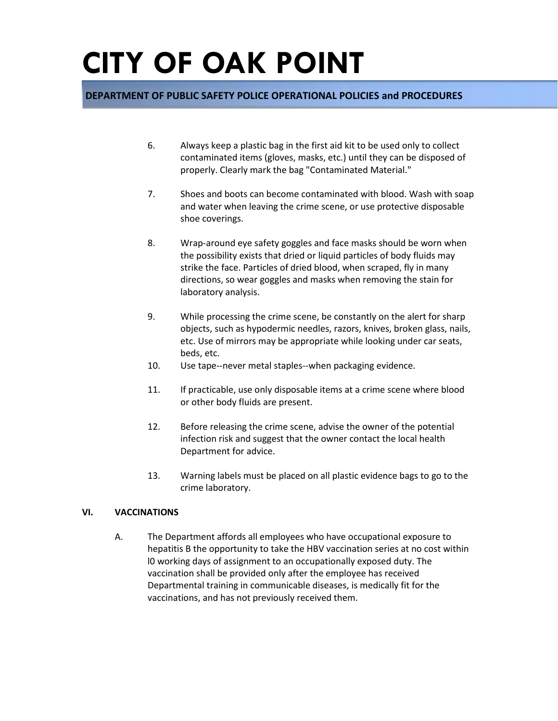### **DEPARTMENT OF PUBLIC SAFETY POLICE OPERATIONAL POLICIES and PROCEDURES**

- 6. Always keep a plastic bag in the first aid kit to be used only to collect contaminated items (gloves, masks, etc.) until they can be disposed of properly. Clearly mark the bag "Contaminated Material."
- 7. Shoes and boots can become contaminated with blood. Wash with soap and water when leaving the crime scene, or use protective disposable shoe coverings.
- 8. Wrap-around eye safety goggles and face masks should be worn when the possibility exists that dried or liquid particles of body fluids may strike the face. Particles of dried blood, when scraped, fly in many directions, so wear goggles and masks when removing the stain for laboratory analysis.
- 9. While processing the crime scene, be constantly on the alert for sharp objects, such as hypodermic needles, razors, knives, broken glass, nails, etc. Use of mirrors may be appropriate while looking under car seats, beds, etc.
- 10. Use tape--never metal staples--when packaging evidence.
- 11. If practicable, use only disposable items at a crime scene where blood or other body fluids are present.
- 12. Before releasing the crime scene, advise the owner of the potential infection risk and suggest that the owner contact the local health Department for advice.
- 13. Warning labels must be placed on all plastic evidence bags to go to the crime laboratory.

#### **VI. VACCINATIONS**

A. The Department affords all employees who have occupational exposure to hepatitis B the opportunity to take the HBV vaccination series at no cost within l0 working days of assignment to an occupationally exposed duty. The vaccination shall be provided only after the employee has received Departmental training in communicable diseases, is medically fit for the vaccinations, and has not previously received them.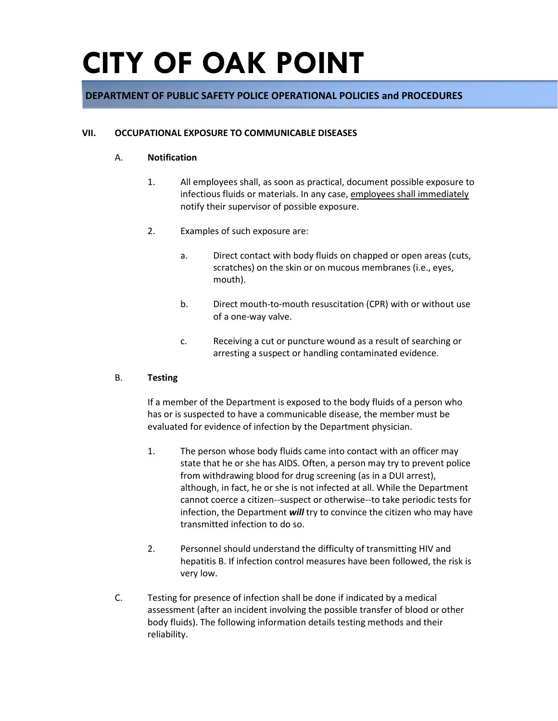### **DEPARTMENT OF PUBLIC SAFETY POLICE OPERATIONAL POLICIES and PROCEDURES**

#### **VII. OCCUPATIONAL EXPOSURE TO COMMUNICABLE DISEASES**

#### A. **Notification**

- 1. All employees shall, as soon as practical, document possible exposure to infectious fluids or materials. In any case, employees shall immediately notify their supervisor of possible exposure.
- 2. Examples of such exposure are:
	- a. Direct contact with body fluids on chapped or open areas (cuts, scratches) on the skin or on mucous membranes (i.e., eyes, mouth).
	- b. Direct mouth-to-mouth resuscitation (CPR) with or without use of a one-way valve.
	- c. Receiving a cut or puncture wound as a result of searching or arresting a suspect or handling contaminated evidence.

#### B. **Testing**

If a member of the Department is exposed to the body fluids of a person who has or is suspected to have a communicable disease, the member must be evaluated for evidence of infection by the Department physician.

- 1. The person whose body fluids came into contact with an officer may state that he or she has AIDS. Often, a person may try to prevent police from withdrawing blood for drug screening (as in a DUI arrest), although, in fact, he or she is not infected at all. While the Department cannot coerce a citizen--suspect or otherwise--to take periodic tests for infection, the Department *will* try to convince the citizen who may have transmitted infection to do so.
- 2. Personnel should understand the difficulty of transmitting HIV and hepatitis B. If infection control measures have been followed, the risk is very low.
- C. Testing for presence of infection shall be done if indicated by a medical assessment (after an incident involving the possible transfer of blood or other body fluids). The following information details testing methods and their reliability.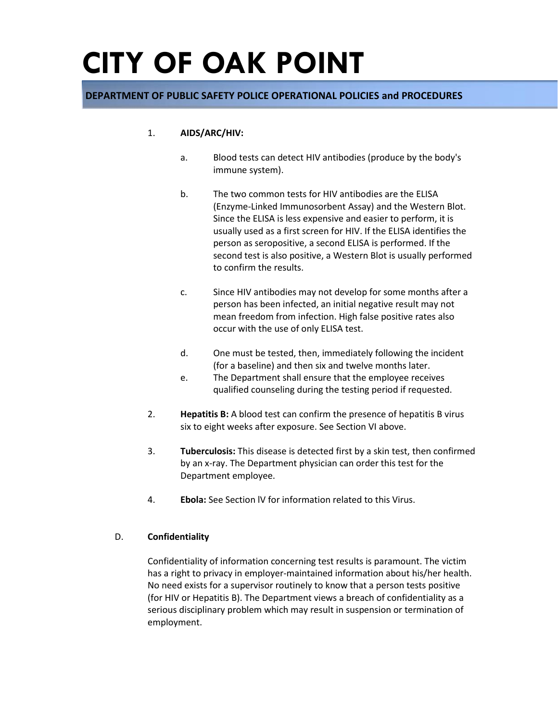### **DEPARTMENT OF PUBLIC SAFETY POLICE OPERATIONAL POLICIES and PROCEDURES**

#### 1. **AIDS/ARC/HIV:**

- a. Blood tests can detect HIV antibodies (produce by the body's immune system).
- b. The two common tests for HIV antibodies are the ELISA (Enzyme-Linked Immunosorbent Assay) and the Western Blot. Since the ELISA is less expensive and easier to perform, it is usually used as a first screen for HIV. If the ELISA identifies the person as seropositive, a second ELISA is performed. If the second test is also positive, a Western Blot is usually performed to confirm the results.
- c. Since HIV antibodies may not develop for some months after a person has been infected, an initial negative result may not mean freedom from infection. High false positive rates also occur with the use of only ELISA test.
- d. One must be tested, then, immediately following the incident (for a baseline) and then six and twelve months later.
- e. The Department shall ensure that the employee receives qualified counseling during the testing period if requested.
- 2. **Hepatitis B:** A blood test can confirm the presence of hepatitis B virus six to eight weeks after exposure. See Section VI above.
- 3. **Tuberculosis:** This disease is detected first by a skin test, then confirmed by an x-ray. The Department physician can order this test for the Department employee.
- 4. **Ebola:** See Section lV for information related to this Virus.

#### D. **Confidentiality**

Confidentiality of information concerning test results is paramount. The victim has a right to privacy in employer-maintained information about his/her health. No need exists for a supervisor routinely to know that a person tests positive (for HIV or Hepatitis B). The Department views a breach of confidentiality as a serious disciplinary problem which may result in suspension or termination of employment.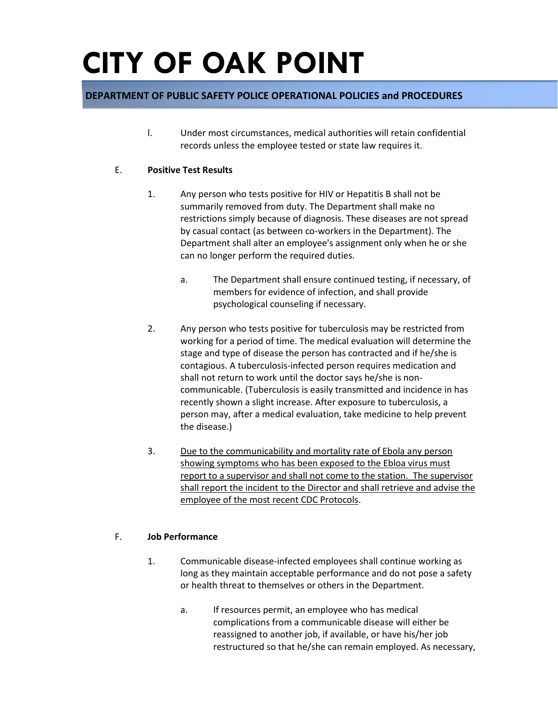## **DEPARTMENT OF PUBLIC SAFETY POLICE OPERATIONAL POLICIES and PROCEDURES**

l. Under most circumstances, medical authorities will retain confidential records unless the employee tested or state law requires it.

#### E. **Positive Test Results**

- 1. Any person who tests positive for HIV or Hepatitis B shall not be summarily removed from duty. The Department shall make no restrictions simply because of diagnosis. These diseases are not spread by casual contact (as between co-workers in the Department). The Department shall alter an employee's assignment only when he or she can no longer perform the required duties.
	- a. The Department shall ensure continued testing, if necessary, of members for evidence of infection, and shall provide psychological counseling if necessary.
- 2. Any person who tests positive for tuberculosis may be restricted from working for a period of time. The medical evaluation will determine the stage and type of disease the person has contracted and if he/she is contagious. A tuberculosis-infected person requires medication and shall not return to work until the doctor says he/she is noncommunicable. (Tuberculosis is easily transmitted and incidence in has recently shown a slight increase. After exposure to tuberculosis, a person may, after a medical evaluation, take medicine to help prevent the disease.)
- 3. Due to the communicability and mortality rate of Ebola any person showing symptoms who has been exposed to the Ebloa virus must report to a supervisor and shall not come to the station. The supervisor shall report the incident to the Director and shall retrieve and advise the employee of the most recent CDC Protocols.

#### F. **Job Performance**

- 1. Communicable disease-infected employees shall continue working as long as they maintain acceptable performance and do not pose a safety or health threat to themselves or others in the Department.
	- a. If resources permit, an employee who has medical complications from a communicable disease will either be reassigned to another job, if available, or have his/her job restructured so that he/she can remain employed. As necessary,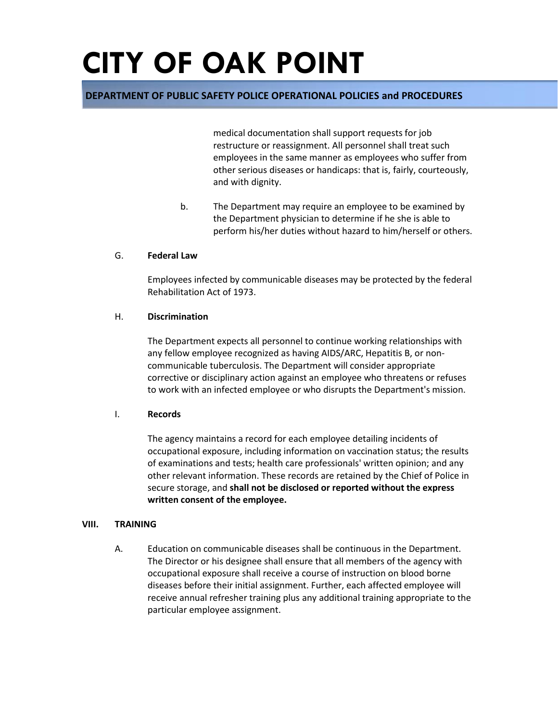### **DEPARTMENT OF PUBLIC SAFETY POLICE OPERATIONAL POLICIES and PROCEDURES**

medical documentation shall support requests for job restructure or reassignment. All personnel shall treat such employees in the same manner as employees who suffer from other serious diseases or handicaps: that is, fairly, courteously, and with dignity.

b. The Department may require an employee to be examined by the Department physician to determine if he she is able to perform his/her duties without hazard to him/herself or others.

#### G. **Federal Law**

Employees infected by communicable diseases may be protected by the federal Rehabilitation Act of 1973.

#### H. **Discrimination**

The Department expects all personnel to continue working relationships with any fellow employee recognized as having AIDS/ARC, Hepatitis B, or noncommunicable tuberculosis. The Department will consider appropriate corrective or disciplinary action against an employee who threatens or refuses to work with an infected employee or who disrupts the Department's mission.

#### I. **Records**

The agency maintains a record for each employee detailing incidents of occupational exposure, including information on vaccination status; the results of examinations and tests; health care professionals' written opinion; and any other relevant information. These records are retained by the Chief of Police in secure storage, and **shall not be disclosed or reported without the express written consent of the employee.**

#### **VIII. TRAINING**

A. Education on communicable diseases shall be continuous in the Department. The Director or his designee shall ensure that all members of the agency with occupational exposure shall receive a course of instruction on blood borne diseases before their initial assignment. Further, each affected employee will receive annual refresher training plus any additional training appropriate to the particular employee assignment.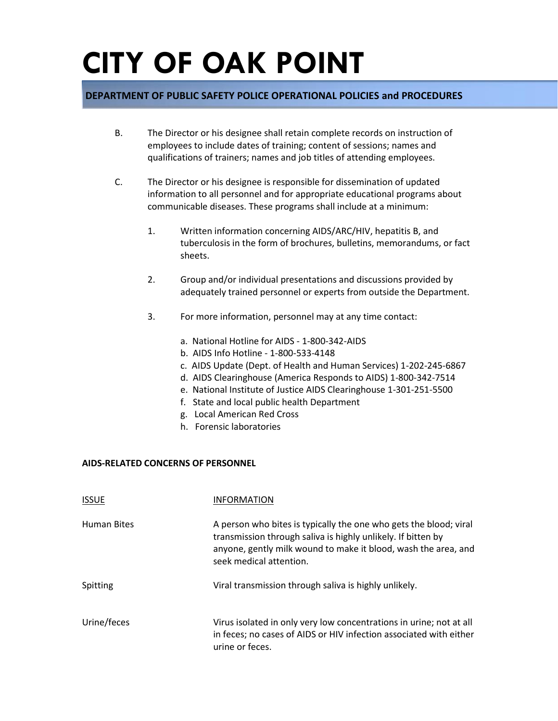### **DEPARTMENT OF PUBLIC SAFETY POLICE OPERATIONAL POLICIES and PROCEDURES**

- B. The Director or his designee shall retain complete records on instruction of employees to include dates of training; content of sessions; names and qualifications of trainers; names and job titles of attending employees.
- C. The Director or his designee is responsible for dissemination of updated information to all personnel and for appropriate educational programs about communicable diseases. These programs shall include at a minimum:
	- 1. Written information concerning AIDS/ARC/HIV, hepatitis B, and tuberculosis in the form of brochures, bulletins, memorandums, or fact sheets.
	- 2. Group and/or individual presentations and discussions provided by adequately trained personnel or experts from outside the Department.
	- 3. For more information, personnel may at any time contact:
		- a. National Hotline for AIDS 1-800-342-AIDS
		- b. AIDS Info Hotline 1-800-533-4148
		- c. AIDS Update (Dept. of Health and Human Services) 1-202-245-6867
		- d. AIDS Clearinghouse (America Responds to AIDS) 1-800-342-7514
		- e. National Institute of Justice AIDS Clearinghouse 1-301-251-5500
		- f. State and local public health Department
		- g. Local American Red Cross
		- h. Forensic laboratories

#### **AIDS-RELATED CONCERNS OF PERSONNEL**

| <b>ISSUE</b>       | <b>INFORMATION</b>                                                                                                                                                                                                             |
|--------------------|--------------------------------------------------------------------------------------------------------------------------------------------------------------------------------------------------------------------------------|
| <b>Human Bites</b> | A person who bites is typically the one who gets the blood; viral<br>transmission through saliva is highly unlikely. If bitten by<br>anyone, gently milk wound to make it blood, wash the area, and<br>seek medical attention. |
| Spitting           | Viral transmission through saliva is highly unlikely.                                                                                                                                                                          |
| Urine/feces        | Virus isolated in only very low concentrations in urine; not at all<br>in feces; no cases of AIDS or HIV infection associated with either<br>urine or feces.                                                                   |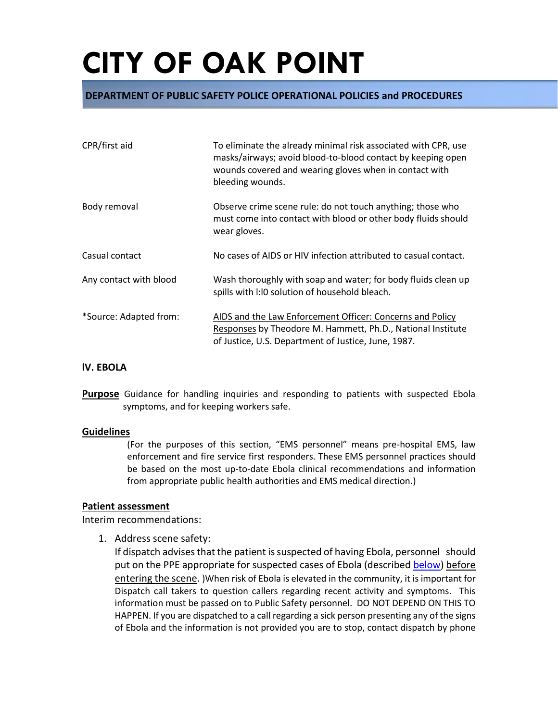### **DEPARTMENT OF PUBLIC SAFETY POLICE OPERATIONAL POLICIES and PROCEDURES**

| CPR/first aid          | To eliminate the already minimal risk associated with CPR, use<br>masks/airways; avoid blood-to-blood contact by keeping open<br>wounds covered and wearing gloves when in contact with<br>bleeding wounds. |
|------------------------|-------------------------------------------------------------------------------------------------------------------------------------------------------------------------------------------------------------|
| Body removal           | Observe crime scene rule: do not touch anything; those who<br>must come into contact with blood or other body fluids should<br>wear gloves.                                                                 |
| Casual contact         | No cases of AIDS or HIV infection attributed to casual contact.                                                                                                                                             |
| Any contact with blood | Wash thoroughly with soap and water; for body fluids clean up<br>spills with I:10 solution of household bleach.                                                                                             |
| *Source: Adapted from: | AIDS and the Law Enforcement Officer: Concerns and Policy<br>Responses by Theodore M. Hammett, Ph.D., National Institute<br>of Justice, U.S. Department of Justice, June, 1987.                             |

#### **lV. EBOLA**

**Purpose** Guidance for handling inquiries and responding to patients with suspected Ebola symptoms, and for keeping workers safe.

#### **Guidelines**

(For the purposes of this section, "EMS personnel" means pre-hospital EMS, law enforcement and fire service first responders. These EMS personnel practices should be based on the most up-to-date Ebola clinical recommendations and information from appropriate public health authorities and EMS medical direction.)

#### **Patient assessment**

Interim recommendations:

1. Address scene safety:

If dispatch advises that the patient is suspected of having Ebola, personnel should put on the PPE appropriate for suspected cases of Ebola (described [below\)](http://www.cdc.gov/vhf/ebola/hcp/interim-guidance-emergency-medical-services-systems-911-public-safety-answering-points-management-patients-known-suspected-united-states.html#ppe) before entering the scene. )When risk of Ebola is elevated in the community, it is important for Dispatch call takers to question callers regarding recent activity and symptoms. This information must be passed on to Public Safety personnel. DO NOT DEPEND ON THIS TO HAPPEN. If you are dispatched to a call regarding a sick person presenting any of the signs of Ebola and the information is not provided you are to stop, contact dispatch by phone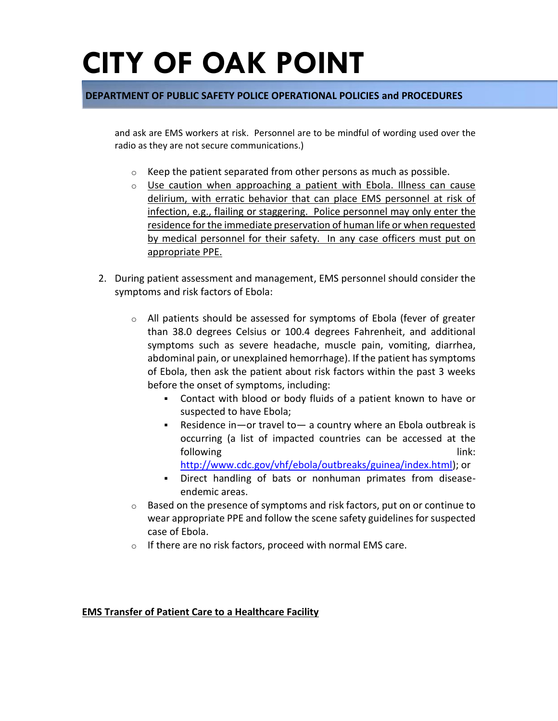### **DEPARTMENT OF PUBLIC SAFETY POLICE OPERATIONAL POLICIES and PROCEDURES**

and ask are EMS workers at risk. Personnel are to be mindful of wording used over the radio as they are not secure communications.)

- $\circ$  Keep the patient separated from other persons as much as possible.
- $\circ$  Use caution when approaching a patient with Ebola. Illness can cause delirium, with erratic behavior that can place EMS personnel at risk of infection, e.g., flailing or staggering. Police personnel may only enter the residence for the immediate preservation of human life or when requested by medical personnel for their safety. In any case officers must put on appropriate PPE.
- 2. During patient assessment and management, EMS personnel should consider the symptoms and risk factors of Ebola:
	- $\circ$  All patients should be assessed for symptoms of Ebola (fever of greater than 38.0 degrees Celsius or 100.4 degrees Fahrenheit, and additional symptoms such as severe headache, muscle pain, vomiting, diarrhea, abdominal pain, or unexplained hemorrhage). If the patient has symptoms of Ebola, then ask the patient about risk factors within the past 3 weeks before the onset of symptoms, including:
		- Contact with blood or body fluids of a patient known to have or suspected to have Ebola;
		- Residence in—or travel to— a country where an Ebola outbreak is occurring (a list of impacted countries can be accessed at the following link:  $\qquad \qquad$  link:
			- [http://www.cdc.gov/vhf/ebola/outbreaks/guinea/index.html\)](http://www.cdc.gov/vhf/ebola/outbreaks/2014-west-africa/index.html); or
		- Direct handling of bats or nonhuman primates from diseaseendemic areas.
	- o Based on the presence of symptoms and risk factors, put on or continue to wear appropriate PPE and follow the scene safety guidelines for suspected case of Ebola.
	- $\circ$  If there are no risk factors, proceed with normal EMS care.

#### **EMS Transfer of Patient Care to a Healthcare Facility**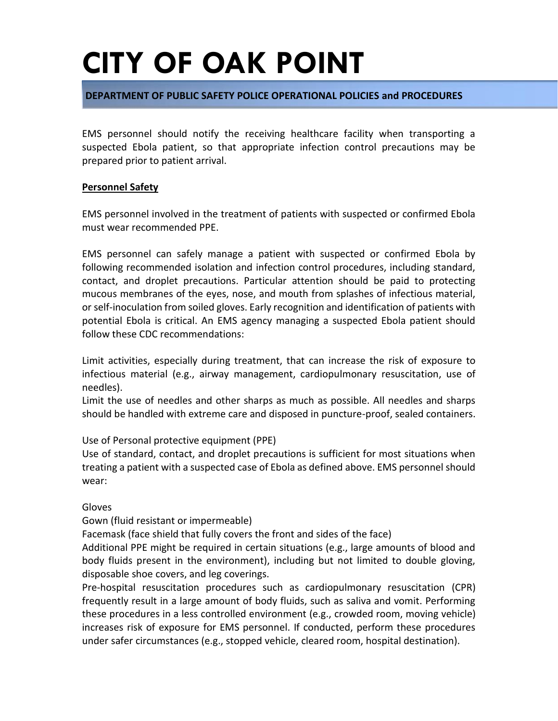### **DEPARTMENT OF PUBLIC SAFETY POLICE OPERATIONAL POLICIES and PROCEDURES**

EMS personnel should notify the receiving healthcare facility when transporting a suspected Ebola patient, so that appropriate infection control precautions may be prepared prior to patient arrival.

### **Personnel Safety**

EMS personnel involved in the treatment of patients with suspected or confirmed Ebola must wear recommended PPE.

EMS personnel can safely manage a patient with suspected or confirmed Ebola by following recommended isolation and infection control procedures, including standard, contact, and droplet precautions. Particular attention should be paid to protecting mucous membranes of the eyes, nose, and mouth from splashes of infectious material, or self-inoculation from soiled gloves. Early recognition and identification of patients with potential Ebola is critical. An EMS agency managing a suspected Ebola patient should follow these CDC recommendations:

Limit activities, especially during treatment, that can increase the risk of exposure to infectious material (e.g., airway management, cardiopulmonary resuscitation, use of needles).

Limit the use of needles and other sharps as much as possible. All needles and sharps should be handled with extreme care and disposed in puncture-proof, sealed containers.

Use of Personal protective equipment (PPE)

Use of standard, contact, and droplet precautions is sufficient for most situations when treating a patient with a suspected case of Ebola as defined above. EMS personnel should wear:

#### Gloves

Gown (fluid resistant or impermeable)

Facemask (face shield that fully covers the front and sides of the face)

Additional PPE might be required in certain situations (e.g., large amounts of blood and body fluids present in the environment), including but not limited to double gloving, disposable shoe covers, and leg coverings.

Pre-hospital resuscitation procedures such as cardiopulmonary resuscitation (CPR) frequently result in a large amount of body fluids, such as saliva and vomit. Performing these procedures in a less controlled environment (e.g., crowded room, moving vehicle) increases risk of exposure for EMS personnel. If conducted, perform these procedures under safer circumstances (e.g., stopped vehicle, cleared room, hospital destination).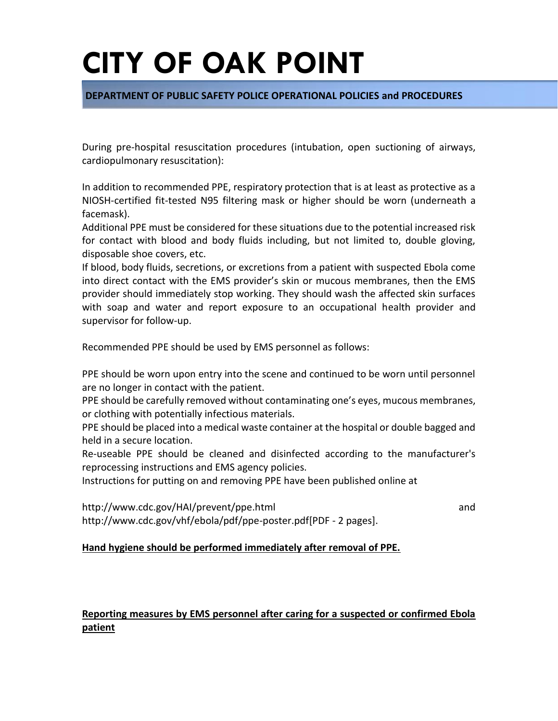### **DEPARTMENT OF PUBLIC SAFETY POLICE OPERATIONAL POLICIES and PROCEDURES**

During pre-hospital resuscitation procedures (intubation, open suctioning of airways, cardiopulmonary resuscitation):

In addition to recommended PPE, respiratory protection that is at least as protective as a NIOSH-certified fit-tested N95 filtering mask or higher should be worn (underneath a facemask).

Additional PPE must be considered for these situations due to the potential increased risk for contact with blood and body fluids including, but not limited to, double gloving, disposable shoe covers, etc.

If blood, body fluids, secretions, or excretions from a patient with suspected Ebola come into direct contact with the EMS provider's skin or mucous membranes, then the EMS provider should immediately stop working. They should wash the affected skin surfaces with soap and water and report exposure to an occupational health provider and supervisor for follow-up.

Recommended PPE should be used by EMS personnel as follows:

PPE should be worn upon entry into the scene and continued to be worn until personnel are no longer in contact with the patient.

PPE should be carefully removed without contaminating one's eyes, mucous membranes, or clothing with potentially infectious materials.

PPE should be placed into a medical waste container at the hospital or double bagged and held in a secure location.

Re-useable PPE should be cleaned and disinfected according to the manufacturer's reprocessing instructions and EMS agency policies.

Instructions for putting on and removing PPE have been published online at

http://www.cdc.gov/HAI/prevent/ppe.html and http://www.cdc.gov/vhf/ebola/pdf/ppe-poster.pdf[PDF - 2 pages].

### **Hand hygiene should be performed immediately after removal of PPE.**

## **Reporting measures by EMS personnel after caring for a suspected or confirmed Ebola patient**